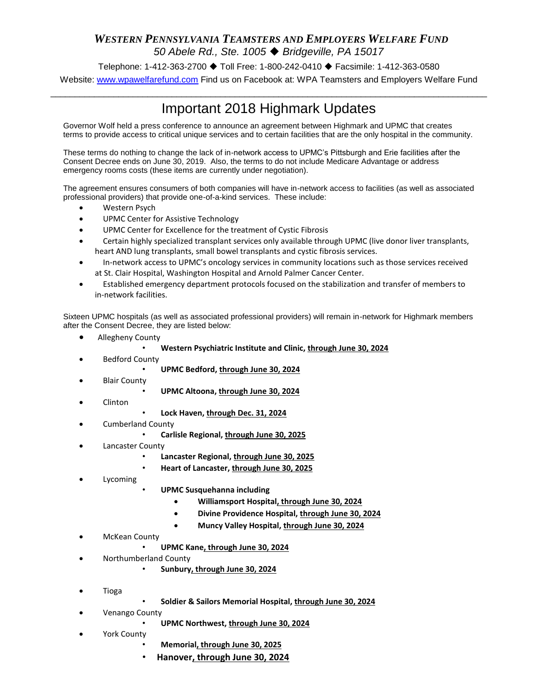## *WESTERN PENNSYLVANIA TEAMSTERS AND EMPLOYERS WELFARE FUND 50 Abele Rd., Ste. 1005 Bridgeville, PA 15017*

Telephone: 1-412-363-2700 ♦ Toll Free: 1-800-242-0410 ♦ Facsimile: 1-412-363-0580 Website: [www.wpawelfarefund.com](http://www.wpawelfarefund.com/) Find us on Facebook at: WPA Teamsters and Employers Welfare Fund

## $\_$  ,  $\_$  ,  $\_$  ,  $\_$  ,  $\_$  ,  $\_$  ,  $\_$  ,  $\_$  ,  $\_$  ,  $\_$  ,  $\_$  ,  $\_$  ,  $\_$  ,  $\_$  ,  $\_$  ,  $\_$  ,  $\_$  ,  $\_$  ,  $\_$  ,  $\_$  ,  $\_$  ,  $\_$  ,  $\_$  ,  $\_$  ,  $\_$  ,  $\_$  ,  $\_$  ,  $\_$  ,  $\_$  ,  $\_$  ,  $\_$  ,  $\_$  ,  $\_$  ,  $\_$  ,  $\_$  ,  $\_$  ,  $\_$  , Important 2018 Highmark Updates

Governor Wolf held a press conference to announce an agreement between Highmark and UPMC that creates terms to provide access to critical unique services and to certain facilities that are the only hospital in the community.

These terms do nothing to change the lack of in-network access to UPMC's Pittsburgh and Erie facilities after the Consent Decree ends on June 30, 2019. Also, the terms to do not include Medicare Advantage or address emergency rooms costs (these items are currently under negotiation).

The agreement ensures consumers of both companies will have in-network access to facilities (as well as associated professional providers) that provide one-of-a-kind services. These include:

- Western Psych
- **UPMC Center for Assistive Technology**
- UPMC Center for Excellence for the treatment of Cystic Fibrosis
- Certain highly specialized transplant services only available through UPMC (live donor liver transplants, heart AND lung transplants, small bowel transplants and cystic fibrosis services.
- In-network access to UPMC's oncology services in community locations such as those services received at St. Clair Hospital, Washington Hospital and Arnold Palmer Cancer Center.
- Established emergency department protocols focused on the stabilization and transfer of members to in-network facilities.

Sixteen UPMC hospitals (as well as associated professional providers) will remain in-network for Highmark members after the Consent Decree, they are listed below:

- Allegheny County
	- **Western Psychiatric Institute and Clinic, through June 30, 2024**
- Bedford County
	- **UPMC Bedford, through June 30, 2024**
- Blair County
- **UPMC Altoona, through June 30, 2024**
- Clinton
- **Lock Haven, through Dec. 31, 2024**
- Cumberland County
	- **Carlisle Regional, through June 30, 2025**
- Lancaster County
	- **Lancaster Regional, through June 30, 2025**
	- **Heart of Lancaster, through June 30, 2025**
- Lycoming
- **UPMC Susquehanna including** 
	- **Williamsport Hospital, through June 30, 2024**
	- **Divine Providence Hospital, through June 30, 2024**
	- **Muncy Valley Hospital, through June 30, 2024**
- McKean County
	- **UPMC Kane, through June 30, 2024**
- Northumberland County
	- **Sunbury, through June 30, 2024**
- Tioga
- **Soldier & Sailors Memorial Hospital, through June 30, 2024**
- Venango County
	- **UPMC Northwest, through June 30, 2024**
- York County
	- **Memorial, through June 30, 2025**
	- **Hanover, through June 30, 2024**